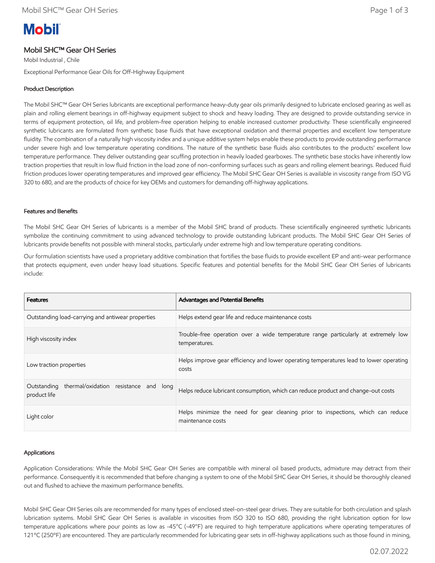# **Mobil**

## Mobil SHC™ Gear OH Series

Mobil Industrial , Chile Exceptional Performance Gear Oils for Off-Highway Equipment

### Product Description

The Mobil SHC™ Gear OH Series lubricants are exceptional performance heavy-duty gear oils primarily designed to lubricate enclosed gearing as well as plain and rolling element bearings in off-highway equipment subject to shock and heavy loading. They are designed to provide outstanding service in terms of equipment protection, oil life, and problem-free operation helping to enable increased customer productivity. These scientifically engineered synthetic lubricants are formulated from synthetic base fluids that have exceptional oxidation and thermal properties and excellent low temperature fluidity. The combination of a naturally high viscosity index and a unique additive system helps enable these products to provide outstanding performance under severe high and low temperature operating conditions. The nature of the synthetic base fluids also contributes to the products' excellent low temperature performance. They deliver outstanding gear scuffing protection in heavily loaded gearboxes. The synthetic base stocks have inherently low traction properties that result in low fluid friction in the load zone of non-conforming surfaces such as gears and rolling element bearings. Reduced fluid friction produces lower operating temperatures and improved gear efficiency. The Mobil SHC Gear OH Series is available in viscosity range from ISO VG 320 to 680, and are the products of choice for key OEMs and customers for demanding off-highway applications.

#### Features and Benefits

The Mobil SHC Gear OH Series of lubricants is a member of the Mobil SHC brand of products. These scientifically engineered synthetic lubricants symbolize the continuing commitment to using advanced technology to provide outstanding lubricant products. The Mobil SHC Gear OH Series of lubricants provide benefits not possible with mineral stocks, particularly under extreme high and low temperature operating conditions.

Our formulation scientists have used a proprietary additive combination that fortifies the base fluids to provide excellent EP and anti-wear performance that protects equipment, even under heavy load situations. Specific features and potential benefits for the Mobil SHC Gear OH Series of lubricants include:

| <b>Features</b>                                                      | <b>Advantages and Potential Benefits</b>                                                              |
|----------------------------------------------------------------------|-------------------------------------------------------------------------------------------------------|
| Outstanding load-carrying and antiwear properties                    | Helps extend gear life and reduce maintenance costs                                                   |
| High viscosity index                                                 | Trouble-free operation over a wide temperature range particularly at extremely low<br>temperatures.   |
| Low traction properties                                              | Helps improve gear efficiency and lower operating temperatures lead to lower operating<br>costs       |
| thermal/oxidation resistance and long<br>Outstanding<br>product life | Helps reduce lubricant consumption, which can reduce product and change-out costs                     |
| Light color                                                          | Helps minimize the need for gear cleaning prior to inspections, which can reduce<br>maintenance costs |

#### Applications

Application Considerations: While the Mobil SHC Gear OH Series are compatible with mineral oil based products, admixture may detract from their performance. Consequently it is recommended that before changing a system to one of the Mobil SHC Gear OH Series, it should be thoroughly cleaned out and flushed to achieve the maximum performance benefits.

Mobil SHC Gear OH Series oils are recommended for many types of enclosed steel-on-steel gear drives. They are suitable for both circulation and splash lubrication systems. Mobil SHC Gear OH Series is available in viscosities from ISO 320 to ISO 680, providing the right lubrication option for low temperature applications where pour points as low as -45°C (-49°F) are required to high temperature applications where operating temperatures of 121ºC (250ºF) are encountered. They are particularly recommended for lubricating gear sets in off-highway applications such as those found in mining,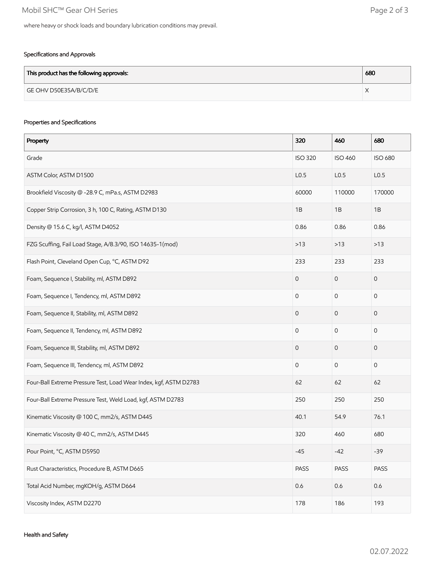#### Specifications and Approvals

| This product has the following approvals: | 680 |
|-------------------------------------------|-----|
| GE OHV D50E35A/B/C/D/E                    |     |

#### Properties and Specifications

| Property                                                          | 320              | 460                 | 680              |
|-------------------------------------------------------------------|------------------|---------------------|------------------|
| Grade                                                             | <b>ISO 320</b>   | <b>ISO 460</b>      | <b>ISO 680</b>   |
| ASTM Color, ASTM D1500                                            | L <sub>0.5</sub> | L <sub>0.5</sub>    | L <sub>0.5</sub> |
| Brookfield Viscosity @ -28.9 C, mPa.s, ASTM D2983                 | 60000            | 110000              | 170000           |
| Copper Strip Corrosion, 3 h, 100 C, Rating, ASTM D130             | 1B               | 1B                  | 1B               |
| Density @ 15.6 C, kg/l, ASTM D4052                                | 0.86             | 0.86                | 0.86             |
| FZG Scuffing, Fail Load Stage, A/8.3/90, ISO 14635-1(mod)         | $>13$            | $>13$               | $>13$            |
| Flash Point, Cleveland Open Cup, °C, ASTM D92                     | 233              | 233                 | 233              |
| Foam, Sequence I, Stability, ml, ASTM D892                        | $\mathbf 0$      | $\mathbf 0$         | 0                |
| Foam, Sequence I, Tendency, ml, ASTM D892                         | $\mathbf{0}$     | $\mathsf{O}\xspace$ | 0                |
| Foam, Sequence II, Stability, ml, ASTM D892                       | $\mathbf 0$      | $\mathbf 0$         | 0                |
| Foam, Sequence II, Tendency, ml, ASTM D892                        | $\mathbf 0$      | $\mathsf{O}\xspace$ | 0                |
| Foam, Sequence III, Stability, ml, ASTM D892                      | $\mathbf 0$      | $\mathsf{O}\xspace$ | $\mathbf 0$      |
| Foam, Sequence III, Tendency, ml, ASTM D892                       | $\mathbf 0$      | $\mathsf{O}\xspace$ | $\mathbf 0$      |
| Four-Ball Extreme Pressure Test, Load Wear Index, kgf, ASTM D2783 | 62               | 62                  | 62               |
| Four-Ball Extreme Pressure Test, Weld Load, kgf, ASTM D2783       | 250              | 250                 | 250              |
| Kinematic Viscosity @ 100 C, mm2/s, ASTM D445                     | 40.1             | 54.9                | 76.1             |
| Kinematic Viscosity @ 40 C, mm2/s, ASTM D445                      | 320              | 460                 | 680              |
| Pour Point, °C, ASTM D5950                                        | $-45$            | $-42$               | $-39$            |
| Rust Characteristics, Procedure B, ASTM D665                      | PASS             | PASS                | PASS             |
| Total Acid Number, mgKOH/g, ASTM D664                             | 0.6              | 0.6                 | 0.6              |
| Viscosity Index, ASTM D2270                                       | 178              | 186                 | 193              |